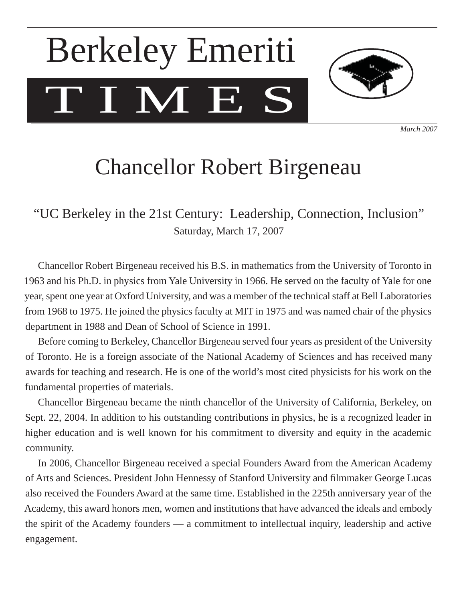# T I M E S Berkeley Emeriti



*March 2007*

## Chancellor Robert Birgeneau

"UC Berkeley in the 21st Century: Leadership, Connection, Inclusion" Saturday, March 17, 2007

 Chancellor Robert Birgeneau received his B.S. in mathematics from the University of Toronto in 1963 and his Ph.D. in physics from Yale University in 1966. He served on the faculty of Yale for one year, spent one year at Oxford University, and was a member of the technical staff at Bell Laboratories from 1968 to 1975. He joined the physics faculty at MIT in 1975 and was named chair of the physics department in 1988 and Dean of School of Science in 1991.

 Before coming to Berkeley, Chancellor Birgeneau served four years as president of the University of Toronto. He is a foreign associate of the National Academy of Sciences and has received many awards for teaching and research. He is one of the world's most cited physicists for his work on the fundamental properties of materials.

 Chancellor Birgeneau became the ninth chancellor of the University of California, Berkeley, on Sept. 22, 2004. In addition to his outstanding contributions in physics, he is a recognized leader in higher education and is well known for his commitment to diversity and equity in the academic community.

 In 2006, Chancellor Birgeneau received a special Founders Award from the American Academy of Arts and Sciences. President John Hennessy of Stanford University and filmmaker George Lucas also received the Founders Award at the same time. Established in the 225th anniversary year of the Academy, this award honors men, women and institutions that have advanced the ideals and embody the spirit of the Academy founders — a commitment to intellectual inquiry, leadership and active engagement.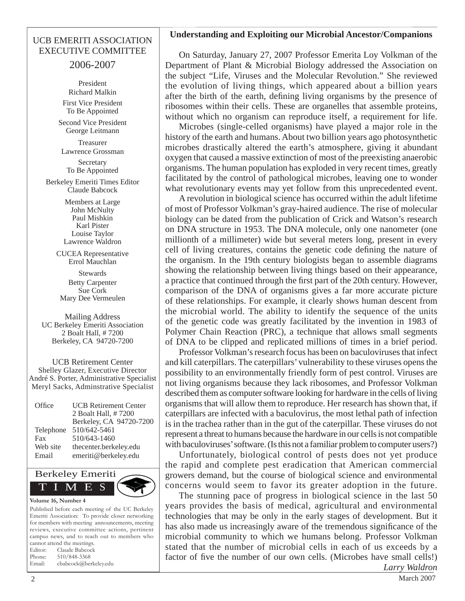#### UCB EMERITI ASSOCIATION EXECUTIVE COMMITTEE

2006-2007

President Richard Malkin First Vice President To Be Appointed

Second Vice President George Leitmann

Treasurer Lawrence Grossman

Secretary To Be Appointed

Berkeley Emeriti Times Editor Claude Babcock

> Members at Large John McNulty Paul Mishkin Karl Pister Louise Taylor Lawrence Waldron

CUCEA Representative Errol Mauchlan

Stewards Betty Carpenter Sue Cork Mary Dee Vermeulen

Mailing Address UC Berkeley Emeriti Association 2 Boalt Hall, # 7200 Berkeley, CA 94720-7200

UCB Retirement Center Shelley Glazer, Executive Director André S. Porter, Administrative Specialist Meryl Sacks, Adminstrative Specialist

| Office    | <b>UCB Retirement Center</b> |
|-----------|------------------------------|
|           | 2 Boalt Hall, #7200          |
|           | Berkeley, CA 94720-7200      |
| Telephone | 510/642-5461                 |
| Fax       | 510/643-1460                 |
| Web site  | thecenter.berkeley.edu       |
| Email     | emeriti@berkeley.edu         |



Published before each meeting of the UC Berkeley Emeriti Association: To provide closer networking for members with meeting announcements, meeting reviews, executive committee actions, pertinent campus news, and to reach out to members who cannot attend the meetings. Editor: Claude Babcock Phone: 510/848-3368 Email: cbabcock@berkeley.edu

#### **Understanding and Exploiting our Microbial Ancestor/Companions**

 On Saturday, January 27, 2007 Professor Emerita Loy Volkman of the Department of Plant & Microbial Biology addressed the Association on the subject "Life, Viruses and the Molecular Revolution." She reviewed the evolution of living things, which appeared about a billion years after the birth of the earth, defining living organisms by the presence of ribosomes within their cells. These are organelles that assemble proteins, without which no organism can reproduce itself, a requirement for life.

 Microbes (single-celled organisms) have played a major role in the history of the earth and humans. About two billion years ago photosynthetic microbes drastically altered the earth's atmosphere, giving it abundant oxygen that caused a massive extinction of most of the preexisting anaerobic organisms. The human population has exploded in very recent times, greatly facilitated by the control of pathological microbes, leaving one to wonder what revolutionary events may yet follow from this unprecedented event.

 A revolution in biological science has occurred within the adult lifetime of most of Professor Volkman's gray-haired audience. The rise of molecular biology can be dated from the publication of Crick and Watson's research on DNA structure in 1953. The DNA molecule, only one nanometer (one millionth of a millimeter) wide but several meters long, present in every cell of living creatures, contains the genetic code defining the nature of the organism. In the 19th century biologists began to assemble diagrams showing the relationship between living things based on their appearance, a practice that continued through the first part of the 20th century. However, comparison of the DNA of organisms gives a far more accurate picture of these relationships. For example, it clearly shows human descent from the microbial world. The ability to identify the sequence of the units of the genetic code was greatly facilitated by the invention in 1983 of Polymer Chain Reaction (PRC), a technique that allows small segments of DNA to be clipped and replicated millions of times in a brief period.

 Professor Volkman's research focus has been on baculoviruses that infect and kill caterpillars. The caterpillars' vulnerability to these viruses opens the possibility to an environmentally friendly form of pest control. Viruses are not living organisms because they lack ribosomes, and Professor Volkman described them as computer software looking for hardware in the cells of living organisms that will allow them to reproduce. Her research has shown that, if caterpillars are infected with a baculovirus, the most lethal path of infection is in the trachea rather than in the gut of the caterpillar. These viruses do not represent a threat to humans because the hardware in our cells is not compatible with baculoviruses' software. (Is this not a familiar problem to computer users?)

 Unfortunately, biological control of pests does not yet produce the rapid and complete pest eradication that American commercial growers demand, but the course of biological science and environmental concerns would seem to favor its greater adoption in the future.

 The stunning pace of progress in biological science in the last 50 years provides the basis of medical, agricultural and environmental technologies that may be only in the early stages of development. But it has also made us increasingly aware of the tremendous significance of the microbial community to which we humans belong. Professor Volkman stated that the number of microbial cells in each of us exceeds by a factor of five the number of our own cells. (Microbes have small cells!) *Larry Waldron*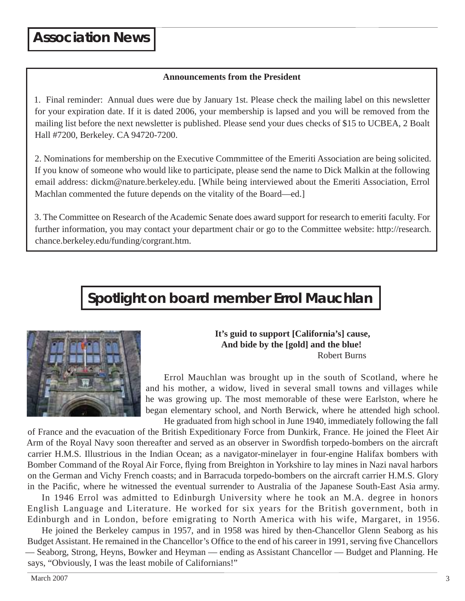#### **Announcements from the President**

1. Final reminder: Annual dues were due by January 1st. Please check the mailing label on this newsletter for your expiration date. If it is dated 2006, your membership is lapsed and you will be removed from the mailing list before the next newsletter is published. Please send your dues checks of \$15 to UCBEA, 2 Boalt Hall #7200, Berkeley. CA 94720-7200.

2. Nominations for membership on the Executive Commmittee of the Emeriti Association are being solicited. If you know of someone who would like to participate, please send the name to Dick Malkin at the following email address: dickm@nature.berkeley.edu. [While being interviewed about the Emeriti Association, Errol Machlan commented the future depends on the vitality of the Board—ed.]

3. The Committee on Research of the Academic Senate does award support for research to emeriti faculty. For further information, you may contact your department chair or go to the Committee website: http://research. chance.berkeley.edu/funding/corgrant.htm.

## **Spotlight on board member Errol Mauchlan**



#### **It's guid to support [California's] cause, And bide by the [gold] and the blue!**  Robert Burns

 Errol Mauchlan was brought up in the south of Scotland, where he and his mother, a widow, lived in several small towns and villages while he was growing up. The most memorable of these were Earlston, where he began elementary school, and North Berwick, where he attended high school. He graduated from high school in June 1940, immediately following the fall

of France and the evacuation of the British Expeditionary Force from Dunkirk, France. He joined the Fleet Air Arm of the Royal Navy soon thereafter and served as an observer in Swordfish torpedo-bombers on the aircraft carrier H.M.S. Illustrious in the Indian Ocean; as a navigator-minelayer in four-engine Halifax bombers with Bomber Command of the Royal Air Force, flying from Breighton in Yorkshire to lay mines in Nazi naval harbors on the German and Vichy French coasts; and in Barracuda torpedo-bombers on the aircraft carrier H.M.S. Glory in the Pacific, where he witnessed the eventual surrender to Australia of the Japanese South-East Asia army.

 In 1946 Errol was admitted to Edinburgh University where he took an M.A. degree in honors English Language and Literature. He worked for six years for the British government, both in Edinburgh and in London, before emigrating to North America with his wife, Margaret, in 1956.

 He joined the Berkeley campus in 1957, and in 1958 was hired by then-Chancellor Glenn Seaborg as his Budget Assistant. He remained in the Chancellor's Office to the end of his career in 1991, serving five Chancellors — Seaborg, Strong, Heyns, Bowker and Heyman — ending as Assistant Chancellor — Budget and Planning. He says, "Obviously, I was the least mobile of Californians!"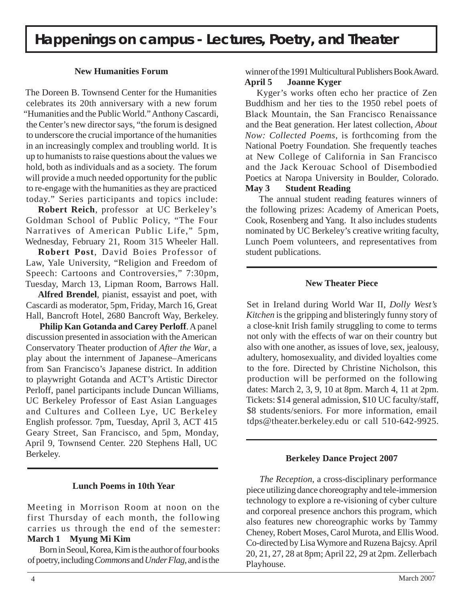#### **New Humanities Forum**

The Doreen B. Townsend Center for the Humanities celebrates its 20th anniversary with a new forum "Humanities and the Public World." Anthony Cascardi, the Center's new director says, "the forum is designed to underscore the crucial importance of the humanities in an increasingly complex and troubling world. It is up to humanists to raise questions about the values we hold, both as individuals and as a society. The forum will provide a much needed opportunity for the public to re-engage with the humanities as they are practiced today." Series participants and topics include:

**Robert Reich**, professor at UC Berkeley's Goldman School of Public Policy, "The Four Narratives of American Public Life," 5pm, Wednesday, February 21, Room 315 Wheeler Hall.

 **Robert Post**, David Boies Professor of Law, Yale University, "Religion and Freedom of Speech: Cartoons and Controversies," 7:30pm, Tuesday, March 13, Lipman Room, Barrows Hall.

**Alfred Brendel**, pianist, essayist and poet, with Cascardi as moderator, 5pm, Friday, March 16, Great Hall, Bancroft Hotel, 2680 Bancroft Way, Berkeley.

**Philip Kan Gotanda and Carey Perloff**. A panel discussion presented in association with the American Conservatory Theater production of *After the War*, a play about the internment of Japanese–Americans from San Francisco's Japanese district. In addition to playwright Gotanda and ACT's Artistic Director Perloff, panel participants include Duncan Williams, UC Berkeley Professor of East Asian Languages and Cultures and Colleen Lye, UC Berkeley English professor. 7pm, Tuesday, April 3, ACT 415 Geary Street, San Francisco, and 5pm, Monday, April 9, Townsend Center. 220 Stephens Hall, UC Berkeley.

#### **Lunch Poems in 10th Year**

Meeting in Morrison Room at noon on the first Thursday of each month, the following carries us through the end of the semester: **March 1 Myung Mi Kim**

 Born in Seoul, Korea, Kim is the author of four books of poetry, including *Commons* and *Under Flag*, and is the

winner of the 1991 Multicultural Publishers Book Award. **April 5 Joanne Kyger**

#### Kyger's works often echo her practice of Zen Buddhism and her ties to the 1950 rebel poets of Black Mountain, the San Francisco Renaissance and the Beat generation. Her latest collection, *About Now: Collected Poems*, is forthcoming from the National Poetry Foundation. She frequently teaches at New College of California in San Francisco and the Jack Kerouac School of Disembodied Poetics at Naropa University in Boulder, Colorado.

#### **May 3 Student Reading**

 The annual student reading features winners of the following prizes: Academy of American Poets, Cook, Rosenberg and Yang. It also includes students nominated by UC Berkeley's creative writing faculty, Lunch Poem volunteers, and representatives from student publications.

#### **New Theater Piece**

Set in Ireland during World War II, *Dolly West's Kitchen* is the gripping and blisteringly funny story of a close-knit Irish family struggling to come to terms not only with the effects of war on their country but also with one another, as issues of love, sex, jealousy, adultery, homosexuality, and divided loyalties come to the fore. Directed by Christine Nicholson, this production will be performed on the following dates: March 2, 3, 9, 10 at 8pm. March 4, 11 at 2pm. Tickets: \$14 general admission, \$10 UC faculty/staff, \$8 students/seniors. For more information, email tdps@theater.berkeley.edu or call 510-642-9925.

#### **Berkeley Dance Project 2007**

*The Reception*, a cross-disciplinary performance piece utilizing dance choreography and tele-immersion technology to explore a re-visioning of cyber culture and corporeal presence anchors this program, which also features new choreographic works by Tammy Cheney, Robert Moses, Carol Murota, and Ellis Wood. Co-directed by Lisa Wymore and Ruzena Bajcsy. April 20, 21, 27, 28 at 8pm; April 22, 29 at 2pm. Zellerbach Playhouse.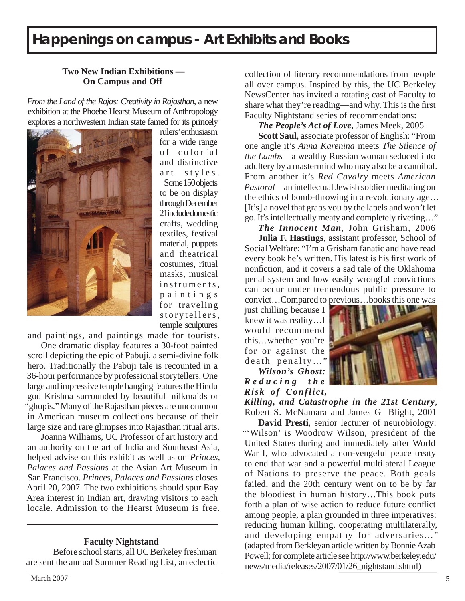### **Happenings on campus - Art Exhibits and Books**

#### **Two New Indian Exhibitions — On Campus and Off**

*From the Land of the Rajas: Creativity in Rajasthan*, a new exhibition at the Phoebe Hearst Museum of Anthropology explores a northwestern Indian state famed for its princely



rulers' enthusiasm for a wide range of colorful and distinctive art styles. Some 150 objects to be on display through December 21include domestic crafts, wedding textiles, festival material, puppets and theatrical costumes, ritual masks, musical instruments, p a i n t i n g s for traveling story tellers, temple sculptures

and paintings, and paintings made for tourists.

 One dramatic display features a 30-foot painted scroll depicting the epic of Pabuji, a semi-divine folk hero. Traditionally the Pabuji tale is recounted in a 36-hour performance by professional storytellers. One large and impressive temple hanging features the Hindu god Krishna surrounded by beautiful milkmaids or "ghopis." Many of the Rajasthan pieces are uncommon in American museum collections because of their large size and rare glimpses into Rajasthan ritual arts.

 Joanna Williams, UC Professor of art history and an authority on the art of India and Southeast Asia, helped advise on this exhibit as well as on *Princes, Palaces and Passions* at the Asian Art Museum in San Francisco. *Princes, Palaces and Passions* closes April 20, 2007. The two exhibitions should spur Bay Area interest in Indian art, drawing visitors to each locale. Admission to the Hearst Museum is free.

#### **Faculty Nightstand**

 Before school starts, all UC Berkeley freshman are sent the annual Summer Reading List, an eclectic

collection of literary recommendations from people all over campus. Inspired by this, the UC Berkeley NewsCenter has invited a rotating cast of Faculty to share what they're reading—and why. This is the first Faculty Nightstand series of recommendations:

*The People's Act of Love*, James Meek, 2005

**Scott Saul**, associate professor of English: "From one angle it's *Anna Karenina* meets *The Silence of the Lambs*—a wealthy Russian woman seduced into adultery by a mastermind who may also be a cannibal. From another it's *Red Cavalry* meets *American Pastoral*—an intellectual Jewish soldier meditating on the ethics of bomb-throwing in a revolutionary age… [It's] a novel that grabs you by the lapels and won't let go. It's intellectually meaty and completely riveting…"

*The Innocent Man*, John Grisham, 2006

**Julia F. Hastings**, assistant professor, School of Social Welfare: "I'm a Grisham fanatic and have read every book he's written. His latest is his first work of nonfiction, and it covers a sad tale of the Oklahoma penal system and how easily wrongful convictions can occur under tremendous public pressure to convict…Compared to previous…books this one was

just chilling because I knew it was reality…I would recommend this…whether you're for or against the death penalty…"

*Wilson's Ghost: R e d u c i n g t h e Risk of Conflict,* 



*Killing, and Catastrophe in the 21st Century*, Robert S. McNamara and James G Blight, 2001

**David Presti**, senior lecturer of neurobiology: "'Wilson' is Woodrow Wilson, president of the United States during and immediately after World War I, who advocated a non-vengeful peace treaty to end that war and a powerful multilateral League of Nations to preserve the peace. Both goals failed, and the 20th century went on to be by far the bloodiest in human history…This book puts forth a plan of wise action to reduce future conflict among people, a plan grounded in three imperatives: reducing human killing, cooperating multilaterally, and developing empathy for adversaries...' (adapted from Berkleyan article written by Bonnie Azab Powell; for complete article see http://www.berkeley.edu/ news/media/releases/2007/01/26\_nightstand.shtml)